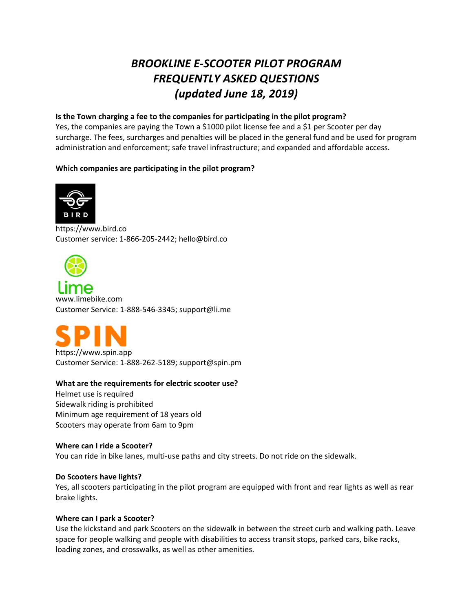# *BROOKLINE E‐SCOOTER PILOT PROGRAM FREQUENTLY ASKED QUESTIONS (updated June 18, 2019)*

# **Is the Town charging a fee to the companies for participating in the pilot program?**

Yes, the companies are paying the Town a \$1000 pilot license fee and a \$1 per Scooter per day surcharge. The fees, surcharges and penalties will be placed in the general fund and be used for program administration and enforcement; safe travel infrastructure; and expanded and affordable access.

# **Which companies are participating in the pilot program?**



https://www.bird.co Customer service: 1‐866‐205‐2442; hello@bird.co

www.limebike.com Customer Service: 1‐888‐546‐3345; support@li.me



# **What are the requirements for electric scooter use?**

Helmet use is required Sidewalk riding is prohibited Minimum age requirement of 18 years old Scooters may operate from 6am to 9pm

# **Where can I ride a Scooter?**

You can ride in bike lanes, multi‐use paths and city streets. Do not ride on the sidewalk.

# **Do Scooters have lights?**

Yes, all scooters participating in the pilot program are equipped with front and rear lights as well as rear brake lights.

# **Where can I park a Scooter?**

Use the kickstand and park Scooters on the sidewalk in between the street curb and walking path. Leave space for people walking and people with disabilities to access transit stops, parked cars, bike racks, loading zones, and crosswalks, as well as other amenities.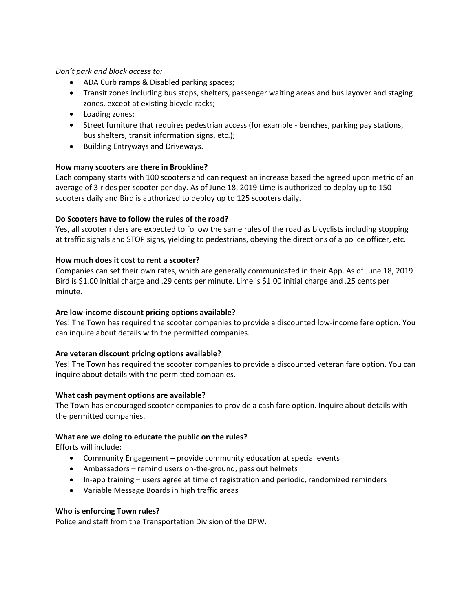# *Don't park and block access to:*

- ADA Curb ramps & Disabled parking spaces;
- Transit zones including bus stops, shelters, passenger waiting areas and bus layover and staging zones, except at existing bicycle racks;
- Loading zones;
- Street furniture that requires pedestrian access (for example ‐ benches, parking pay stations, bus shelters, transit information signs, etc.);
- Building Entryways and Driveways.

# **How many scooters are there in Brookline?**

Each company starts with 100 scooters and can request an increase based the agreed upon metric of an average of 3 rides per scooter per day. As of June 18, 2019 Lime is authorized to deploy up to 150 scooters daily and Bird is authorized to deploy up to 125 scooters daily.

# **Do Scooters have to follow the rules of the road?**

Yes, all scooter riders are expected to follow the same rules of the road as bicyclists including stopping at traffic signals and STOP signs, yielding to pedestrians, obeying the directions of a police officer, etc.

#### **How much does it cost to rent a scooter?**

Companies can set their own rates, which are generally communicated in their App. As of June 18, 2019 Bird is \$1.00 initial charge and .29 cents per minute. Lime is \$1.00 initial charge and .25 cents per minute.

# **Are low‐income discount pricing options available?**

Yes! The Town has required the scooter companies to provide a discounted low‐income fare option. You can inquire about details with the permitted companies.

# **Are veteran discount pricing options available?**

Yes! The Town has required the scooter companies to provide a discounted veteran fare option. You can inquire about details with the permitted companies.

#### **What cash payment options are available?**

The Town has encouraged scooter companies to provide a cash fare option. Inquire about details with the permitted companies.

#### **What are we doing to educate the public on the rules?**

Efforts will include:

- Community Engagement provide community education at special events
- Ambassadors remind users on-the-ground, pass out helmets
- In-app training users agree at time of registration and periodic, randomized reminders
- Variable Message Boards in high traffic areas

#### **Who is enforcing Town rules?**

Police and staff from the Transportation Division of the DPW.